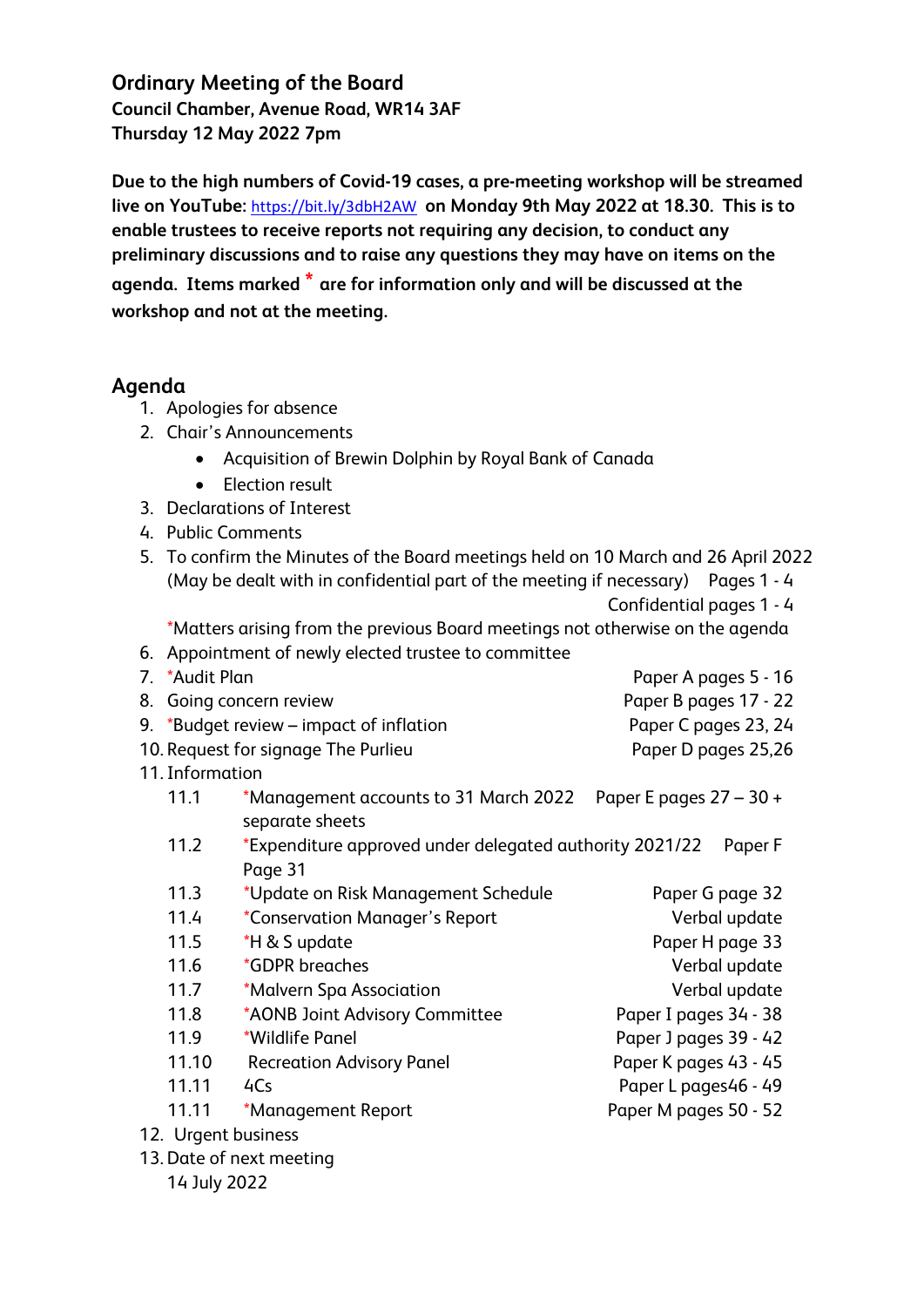**Ordinary Meeting of the Board Council Chamber, Avenue Road, WR14 3AF Thursday 12 May 2022 7pm**

**Due to the high numbers of Covid-19 cases, a pre-meeting workshop will be streamed live on YouTube:** <https://bit.ly/3dbH2AW> **on Monday 9th May 2022 at 18.30. This is to enable trustees to receive reports not requiring any decision, to conduct any preliminary discussions and to raise any questions they may have on items on the agenda. Items marked \* are for information only and will be discussed at the workshop and not at the meeting.**

## **Agenda**

- 1. Apologies for absence
- 2. Chair's Announcements
	- Acquisition of Brewin Dolphin by Royal Bank of Canada
	- Election result
- 3. Declarations of Interest
- 4. Public Comments
- 5. To confirm the Minutes of the Board meetings held on 10 March and 26 April 2022 (May be dealt with in confidential part of the meeting if necessary) Pages 1 - 4 Confidential pages 1 - 4

\*Matters arising from the previous Board meetings not otherwise on the agenda

- 6. Appointment of newly elected trustee to committee
- 7. \*Audit Plan Paper A pages 5 16 8. Going concern review **Paper B pages 17 - 22** 9. \*Budget review – impact of inflation Paper C pages 23, 24 10. Request for signage The Purlieu **Paper D pages 25,26**
- 11.Information

| 11.1 | *Management accounts to 31 March 2022 Paper E pages $27 - 30 +$ |  |
|------|-----------------------------------------------------------------|--|
|      | separate sheets                                                 |  |

- 11.2 \*Expenditure approved under delegated authority 2021/22 Paper F Page 31
- 11.3 \*Update on Risk Management Schedule Paper G page 32 11.4 \*Conservation Manager's Report Verbal update
- 11.5  $*H & S \text{ update}$  Paper H page 33
- 11.6 \*GDPR breaches verbal update
- 11.7 \*Malvern Spa Association **Verbal update**
- 11.8 \*AONB Joint Advisory Committee Paper I pages 34 38
- 11.9 \*Wildlife Panel Paper J pages 39 42
- 11.10 Recreation Advisory Panel Paper K pages 43 45
- 11.11 4Cs Paper L pages46 49

11.11 \*Management Report Paper M pages 50 - 52

- 12. Urgent business
- 13. Date of next meeting

14 July 2022